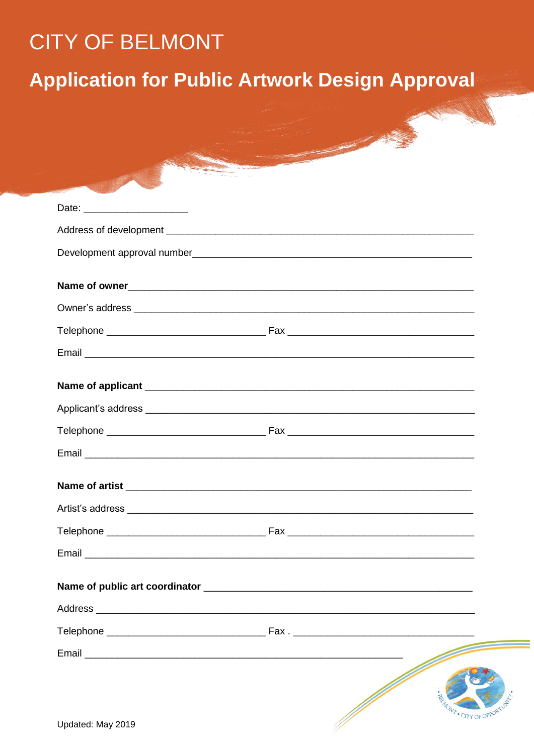# **CITY OF BELMONT**

# **Application for Public Artwork Design Approval**

| Date: ________________________ |                                                                                                                                                                                                                                |                 |
|--------------------------------|--------------------------------------------------------------------------------------------------------------------------------------------------------------------------------------------------------------------------------|-----------------|
|                                |                                                                                                                                                                                                                                |                 |
|                                |                                                                                                                                                                                                                                |                 |
|                                |                                                                                                                                                                                                                                |                 |
|                                |                                                                                                                                                                                                                                |                 |
|                                |                                                                                                                                                                                                                                |                 |
|                                |                                                                                                                                                                                                                                |                 |
|                                |                                                                                                                                                                                                                                |                 |
|                                |                                                                                                                                                                                                                                |                 |
|                                |                                                                                                                                                                                                                                |                 |
|                                |                                                                                                                                                                                                                                |                 |
|                                |                                                                                                                                                                                                                                |                 |
|                                |                                                                                                                                                                                                                                |                 |
|                                |                                                                                                                                                                                                                                |                 |
|                                |                                                                                                                                                                                                                                |                 |
|                                |                                                                                                                                                                                                                                |                 |
|                                |                                                                                                                                                                                                                                |                 |
|                                |                                                                                                                                                                                                                                |                 |
|                                |                                                                                                                                                                                                                                |                 |
|                                |                                                                                                                                                                                                                                |                 |
|                                | Fax. The contract of the contract of the contract of the contract of the contract of the contract of the contract of the contract of the contract of the contract of the contract of the contract of the contract of the contr |                 |
|                                |                                                                                                                                                                                                                                |                 |
|                                |                                                                                                                                                                                                                                |                 |
|                                |                                                                                                                                                                                                                                |                 |
| Updated: May 2019              |                                                                                                                                                                                                                                | · CITY OF OPPOR |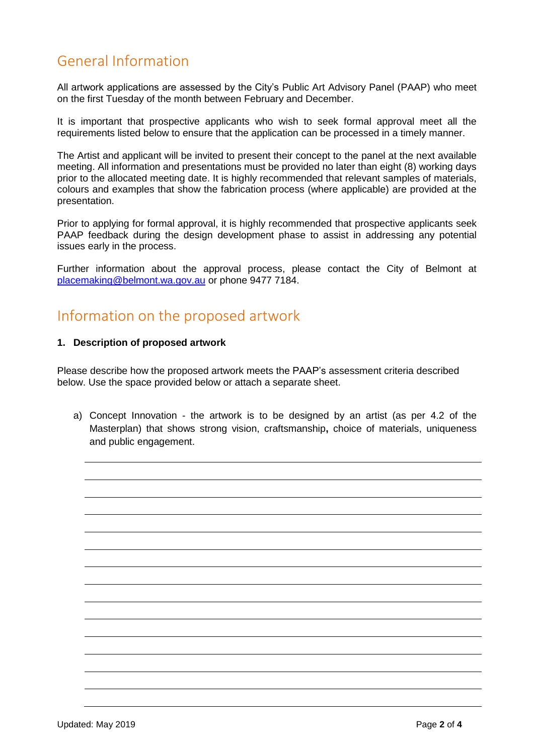## General Information

All artwork applications are assessed by the City's Public Art Advisory Panel (PAAP) who meet on the first Tuesday of the month between February and December.

It is important that prospective applicants who wish to seek formal approval meet all the requirements listed below to ensure that the application can be processed in a timely manner.

The Artist and applicant will be invited to present their concept to the panel at the next available meeting. All information and presentations must be provided no later than eight (8) working days prior to the allocated meeting date. It is highly recommended that relevant samples of materials, colours and examples that show the fabrication process (where applicable) are provided at the presentation.

Prior to applying for formal approval, it is highly recommended that prospective applicants seek PAAP feedback during the design development phase to assist in addressing any potential issues early in the process.

Further information about the approval process, please contact the City of Belmont at [placemaking@belmont.wa.gov.au](mailto:placemaking@belmont.wa.gov.au) or phone 9477 7184.

### Information on the proposed artwork

### **1. Description of proposed artwork**

Please describe how the proposed artwork meets the PAAP's assessment criteria described below. Use the space provided below or attach a separate sheet.

a) Concept Innovation - the artwork is to be designed by an artist (as per 4.2 of the Masterplan) that shows strong vision, craftsmanship**,** choice of materials, uniqueness and public engagement.

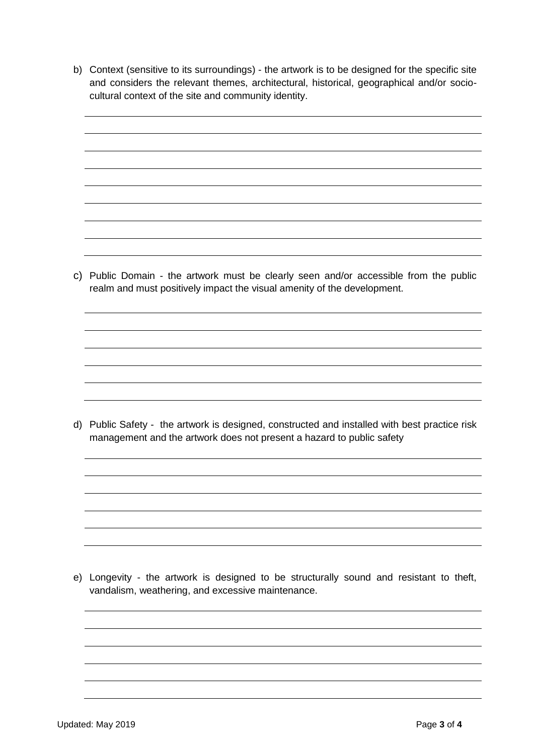- b) Context (sensitive to its surroundings) the artwork is to be designed for the specific site and considers the relevant themes, architectural, historical, geographical and/or sociocultural context of the site and community identity.
- c) Public Domain the artwork must be clearly seen and/or accessible from the public realm and must positively impact the visual amenity of the development. d) Public Safety -the artwork is designed, constructed and installed with best practice risk management and the artwork does not present a hazard to public safety

e) Longevity - the artwork is designed to be structurally sound and resistant to theft, vandalism, weathering, and excessive maintenance.